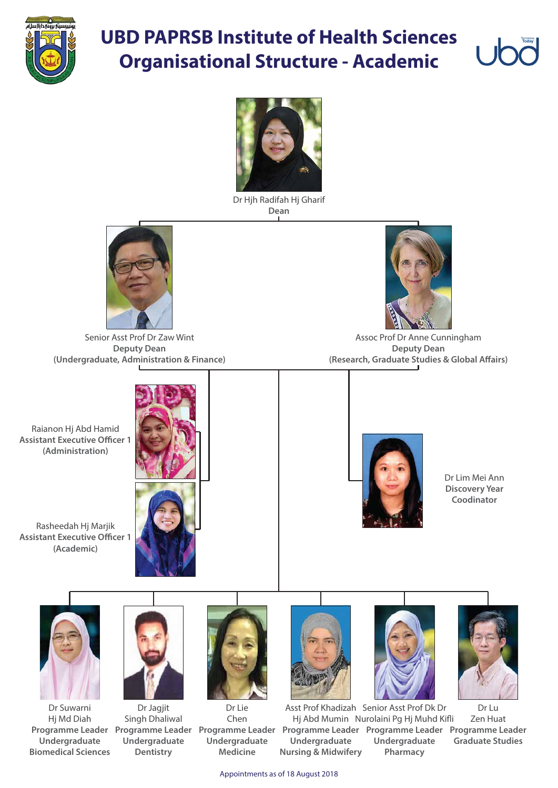

## **UBD PAPRSB Institute of Health Sciences Organisational Structure - Academic**



Appointments as of 18 August 2018

Raianon Hj Abd Hamid **Assistant Executive Officer 1 (Administration)**

Assoc Prof Dr Anne Cunningham **Deputy Dean (Research, Graduate Studies & Global Affairs)** 

Rasheedah Hj Marjik **Assistant Executive Officer 1 (Academic)**





Dr Hjh Radifah Hj Gharif **Dean**



Senior Asst Prof Dr Zaw Wint **Deputy Dean (Undergraduate, Administration & Finance)**



Dr Lu Zen Huat **Programme Leader Programme Leader Programme Leader Programme Leader Programme Leader Programme Leader Graduate Studies** Asst Prof Khadizah Senior Asst Prof Dk Dr Hj Abd Mumin Nurolaini Pg Hj Muhd Kifli **Undergraduate Pharmacy Undergraduate Nursing & Midwifery**

Dr Jagjit Singh Dhaliwal **Undergraduate Dentistry**

Dr Suwarni Hj Md Diah **Undergraduate Biomedical Sciences** Dr Lim Mei Ann **Discovery Year Coodinator**













Dr Lie Chen **Undergraduate Medicine**